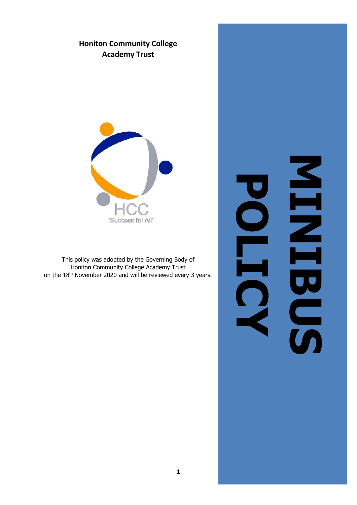# **Honiton Community College Academy Trust**



This policy was adopted by the Governing Body of Honiton Community College Academy Trust on the 18th November 2020 and will be reviewed every 3 years.

MINIBUS 2009 NHNHNG **POLICY**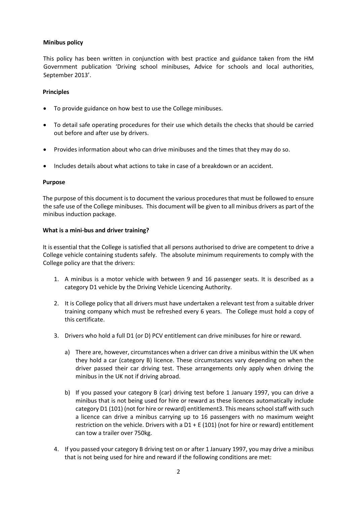# **Minibus policy**

This policy has been written in conjunction with best practice and guidance taken from the HM Government publication 'Driving school minibuses, Advice for schools and local authorities, September 2013'.

#### **Principles**

- To provide guidance on how best to use the College minibuses.
- To detail safe operating procedures for their use which details the checks that should be carried out before and after use by drivers.
- Provides information about who can drive minibuses and the times that they may do so.
- Includes details about what actions to take in case of a breakdown or an accident.

#### **Purpose**

The purpose of this document is to document the various procedures that must be followed to ensure the safe use of the College minibuses. This document will be given to all minibus drivers as part of the minibus induction package.

#### **What is a mini-bus and driver training?**

It is essential that the College is satisfied that all persons authorised to drive are competent to drive a College vehicle containing students safely. The absolute minimum requirements to comply with the College policy are that the drivers:

- 1. A minibus is a motor vehicle with between 9 and 16 passenger seats. It is described as a category D1 vehicle by the Driving Vehicle Licencing Authority.
- 2. It is College policy that all drivers must have undertaken a relevant test from a suitable driver training company which must be refreshed every 6 years. The College must hold a copy of this certificate.
- 3. Drivers who hold a full D1 (or D) PCV entitlement can drive minibuses for hire or reward.
	- a) There are, however, circumstances when a driver can drive a minibus within the UK when they hold a car (category B) licence. These circumstances vary depending on when the driver passed their car driving test. These arrangements only apply when driving the minibus in the UK not if driving abroad.
	- b) If you passed your category B (car) driving test before 1 January 1997, you can drive a minibus that is not being used for hire or reward as these licences automatically include category D1 (101) (not for hire or reward) entitlement3. This means school staff with such a licence can drive a minibus carrying up to 16 passengers with no maximum weight restriction on the vehicle. Drivers with a  $D1 + E(101)$  (not for hire or reward) entitlement can tow a trailer over 750kg.
- 4. If you passed your category B driving test on or after 1 January 1997, you may drive a minibus that is not being used for hire and reward if the following conditions are met: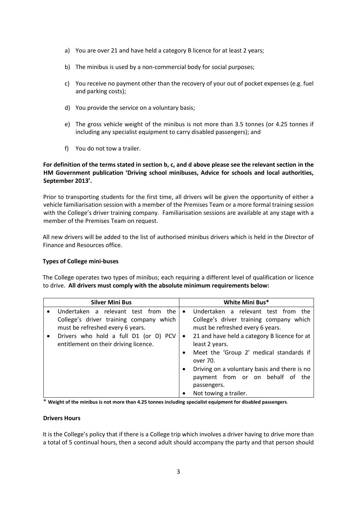- a) You are over 21 and have held a category B licence for at least 2 years;
- b) The minibus is used by a non-commercial body for social purposes;
- c) You receive no payment other than the recovery of your out of pocket expenses (e.g. fuel and parking costs);
- d) You provide the service on a voluntary basis;
- e) The gross vehicle weight of the minibus is not more than 3.5 tonnes (or 4.25 tonnes if including any specialist equipment to carry disabled passengers); and
- f) You do not tow a trailer.

# **For definition of the terms stated in section b, c, and d above please see the relevant section in the HM Government publication 'Driving school minibuses, Advice for schools and local authorities, September 2013'.**

Prior to transporting students for the first time, all drivers will be given the opportunity of either a vehicle familiarisation session with a member of the Premises Team or a more formal training session with the College's driver training company. Familiarisation sessions are available at any stage with a member of the Premises Team on request.

All new drivers will be added to the list of authorised minibus drivers which is held in the Director of Finance and Resources office.

# **Types of College mini-buses**

The College operates two types of minibus; each requiring a different level of qualification or licence to drive. **All drivers must comply with the absolute minimum requirements below:** 

|           | <b>Silver Mini Bus</b>                                                      |           | White Mini Bus*                                                             |
|-----------|-----------------------------------------------------------------------------|-----------|-----------------------------------------------------------------------------|
|           | Undertaken a relevant test from the                                         | $\bullet$ | Undertaken a relevant test from the                                         |
|           | College's driver training company which<br>must be refreshed every 6 years. |           | College's driver training company which<br>must be refreshed every 6 years. |
| $\bullet$ | Drivers who hold a full D1 (or D) PCV                                       | $\bullet$ | 21 and have held a category B licence for at                                |
|           | entitlement on their driving licence.                                       |           | least 2 years.                                                              |
|           |                                                                             |           | Meet the 'Group 2' medical standards if                                     |
|           |                                                                             |           | over 70.                                                                    |
|           |                                                                             | $\bullet$ | Driving on a voluntary basis and there is no                                |
|           |                                                                             |           | payment from or on behalf of the                                            |
|           |                                                                             |           | passengers.                                                                 |
|           |                                                                             | $\bullet$ | Not towing a trailer.                                                       |

\* **Weight of the minibus is not more than 4.25 tonnes including specialist equipment for disabled passengers**.

#### **Drivers Hours**

It is the College's policy that if there is a College trip which involves a driver having to drive more than a total of 5 continual hours, then a second adult should accompany the party and that person should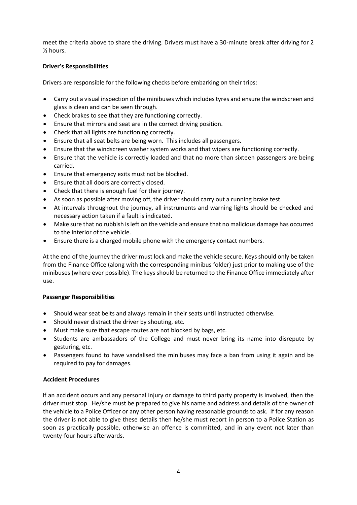meet the criteria above to share the driving. Drivers must have a 30-minute break after driving for 2 ½ hours.

# **Driver's Responsibilities**

Drivers are responsible for the following checks before embarking on their trips:

- Carry out a visual inspection of the minibuses which includes tyres and ensure the windscreen and glass is clean and can be seen through.
- Check brakes to see that they are functioning correctly.
- Ensure that mirrors and seat are in the correct driving position.
- Check that all lights are functioning correctly.
- Ensure that all seat belts are being worn. This includes all passengers.
- Ensure that the windscreen washer system works and that wipers are functioning correctly.
- Ensure that the vehicle is correctly loaded and that no more than sixteen passengers are being carried.
- Ensure that emergency exits must not be blocked.
- Ensure that all doors are correctly closed.
- Check that there is enough fuel for their journey.
- As soon as possible after moving off, the driver should carry out a running brake test.
- At intervals throughout the journey, all instruments and warning lights should be checked and necessary action taken if a fault is indicated.
- Make sure that no rubbish is left on the vehicle and ensure that no malicious damage has occurred to the interior of the vehicle.
- Ensure there is a charged mobile phone with the emergency contact numbers.

At the end of the journey the driver must lock and make the vehicle secure. Keys should only be taken from the Finance Office (along with the corresponding minibus folder) just prior to making use of the minibuses (where ever possible). The keys should be returned to the Finance Office immediately after use.

#### **Passenger Responsibilities**

- Should wear seat belts and always remain in their seats until instructed otherwise.
- Should never distract the driver by shouting, etc.
- Must make sure that escape routes are not blocked by bags, etc.
- Students are ambassadors of the College and must never bring its name into disrepute by gesturing, etc.
- Passengers found to have vandalised the minibuses may face a ban from using it again and be required to pay for damages.

### **Accident Procedures**

If an accident occurs and any personal injury or damage to third party property is involved, then the driver must stop. He/she must be prepared to give his name and address and details of the owner of the vehicle to a Police Officer or any other person having reasonable grounds to ask. If for any reason the driver is not able to give these details then he/she must report in person to a Police Station as soon as practically possible, otherwise an offence is committed, and in any event not later than twenty-four hours afterwards.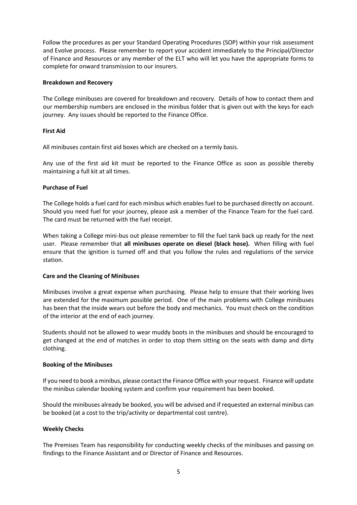Follow the procedures as per your Standard Operating Procedures (SOP) within your risk assessment and Evolve process. Please remember to report your accident immediately to the Principal/Director of Finance and Resources or any member of the ELT who will let you have the appropriate forms to complete for onward transmission to our insurers.

#### **Breakdown and Recovery**

The College minibuses are covered for breakdown and recovery. Details of how to contact them and our membership numbers are enclosed in the minibus folder that is given out with the keys for each journey. Any issues should be reported to the Finance Office.

#### **First Aid**

All minibuses contain first aid boxes which are checked on a termly basis.

Any use of the first aid kit must be reported to the Finance Office as soon as possible thereby maintaining a full kit at all times.

#### **Purchase of Fuel**

The College holds a fuel card for each minibus which enables fuel to be purchased directly on account. Should you need fuel for your journey, please ask a member of the Finance Team for the fuel card. The card must be returned with the fuel receipt.

When taking a College mini-bus out please remember to fill the fuel tank back up ready for the next user. Please remember that **all minibuses operate on diesel (black hose).** When filling with fuel ensure that the ignition is turned off and that you follow the rules and regulations of the service station.

#### **Care and the Cleaning of Minibuses**

Minibuses involve a great expense when purchasing. Please help to ensure that their working lives are extended for the maximum possible period. One of the main problems with College minibuses has been that the inside wears out before the body and mechanics. You must check on the condition of the interior at the end of each journey.

Students should not be allowed to wear muddy boots in the minibuses and should be encouraged to get changed at the end of matches in order to stop them sitting on the seats with damp and dirty clothing.

#### **Booking of the Minibuses**

If you need to book a minibus, please contact the Finance Office with your request. Finance will update the minibus calendar booking system and confirm your requirement has been booked.

Should the minibuses already be booked, you will be advised and if requested an external minibus can be booked (at a cost to the trip/activity or departmental cost centre).

#### **Weekly Checks**

The Premises Team has responsibility for conducting weekly checks of the minibuses and passing on findings to the Finance Assistant and or Director of Finance and Resources.